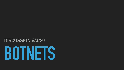

## **DISCUSSION 6/3/20**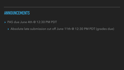## **ANNOUNCEMENTS**

▸ PA5 due June 4th @ 12:30 PM PDT

### ▸ Absolute late submission cut off June 11th @ 12:30 PM PDT (grades due)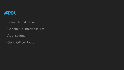## **AGENDA**

- ▸ Botnet Architectures
- ▸ Generic Countermeasures
- ▸ Applications
- ▸ Open Office Hours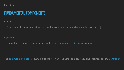# **FUNDAMENTAL COMPONENTS**

Botnet

A network of compromised systems with a common command and control system ( $C_2$ )

**Controller** 

Agent that manages compromised systems via command and control system

The command and control system ties the network together and provides and interface for the controller

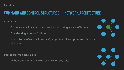# **COMMAND AND CONTROL STRUCTURES: NETWORK ARCHITECTURE**

### Centralized

- ‣ One or several hosts act as control hubs directing activity of botnet
- ‣ Provides single point of failure
- $\blacktriangleright$  Round Robin of several hosts as  $C_2$  helps, but still compromised if the set of hosts is

Peer-to-peer (Decentralized)

‣ All bots are fungible (any bot can take on any role)



![](_page_4_Figure_12.jpeg)

![](_page_4_Picture_13.jpeg)

![](_page_4_Picture_15.jpeg)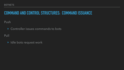# **COMMAND AND CONTROL STRUCTURES: COMMAND ISSUANCE**

Push

‣ Controller issues commands to bots Pull

‣ Idle bots request work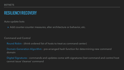# **RESILIENCY/RECOVERY**

Auto-update bots

▸ Add counter-counter measures, alter architecture or behavior, etc.

### Command and Control

Round Robin - (think ordered list of hosts to treat as command center)

Domain Generation Algorithm - pre-arranged hash function for determining new command domain

Digital Signatures - commands and updates come with signatures (lost command and control host cannot issue 'cleanse' command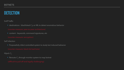## **DETECTION**

### Sniff Traffic

 $\blacktriangleright$  destinations - blacklisted  $C_2$ s or ML to detect anomalous behavior

(counter-measure: peer-to-peer architecture)

‣ content - keywords, command signatures, etc

(counter-measure: encryption)

 $\blacktriangleright$  Reroute  $C_2$  through monitor system to map botnet (difficult to pull-off and legally challenging)

Self Infection

‣ Purposefully infect controlled system to study bot induced behavior

(counter-measure: black-list bad bots)

Hijack  $\mathit{C}_2$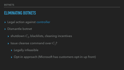# **ELIMINATING BOTNETS**

- ▸ Legal action against controller
- ▸ Dismantle botnet
	- $\blacktriangleright$  shutdown  $C_2$ , blacklists, cleaning incentives
	- $\blacktriangleright$  Issue cleanse command over  $C_2$ ?
		- ▸ Legally infeasible
		- ▸ Opt-in approach (Microsoft has customers opt-in up front)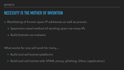# **NECESSITY IS THE MOTHER OF INVENTION**

- ▸ Blacklisting of known spam IP addresses as well as proxies
	- ▸ Spammers need method of sending spam via many IPs
	- ▸ Build botnets via malware

What works for one will work for many…

- ‣ Build and sell botnet (platform)
- ‣ Build and sell botnet with SPAM, piracy, phishing, DDos, (application)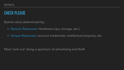## **CHECK PLEASE**

Botnet value determined by:

‣ Generic Resources: Hardware (cpu, storage, etc.)

‣ Unique Resources: account credentials, intellectual property, etc.

Most 'cash out' along a spectrum of advertising and theft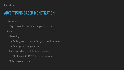# **ADVERTISING BASED MONETIZATION**

- ▸ Click Fraud
	- ▸ Pay to have botnet click competitor's ads
- ▸ Spam
	- Marketing
		- ▸ Selling real or counterfeit goods and services
		- ▸ Stock price manipulation

Attraction (direct recipients somewhere)

‣ Phishing, XSS, CSRF, drive-by malware

Malicious Attachments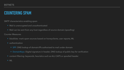## **COUNTERING SPAM**

SMTP characteristics enabling spam

- ‣ Mail is unencrypted and unauthenticated
- ‣ Mail can be sent from any host regardless of source domain (spoofing)

### Counter Measures

- ‣ blacklists- mark spam sources based on honeyclients, user reports, ML
- ‣ authentication
	- ‣ SPF: DNS lookup of domain/IPs authorized to mail under domain
	- ‣ DomainKeys: Digital signature in header, DNS lookup of public key for verification
- ‣ content filtering: keywords, heuristics such as ALL CAPS or spoofed header
- ‣ ML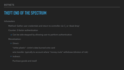# **THEFT END OF THE SPECTRUM**

Infostealers

- Method: Gather user credentials and return to controller via  $C_2$  or 'dead drop'
- Counter: 2-factor authentication
- ▸ Can be side-stepped by allowing user to perform authentication Monetization:
	- ‣ Direct:
		- "white plastic"- victim's data burned onto card
		- wire transfer- typically to account where "money mule" withdraws (division of risk)
	- ‣ Indirect:
		- Purchase goods and resell